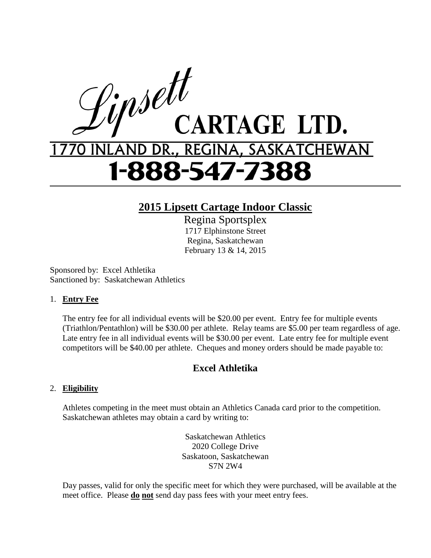

## **2015 Lipsett Cartage Indoor Classic**

Regina Sportsplex 1717 Elphinstone Street Regina, Saskatchewan February 13 & 14, 2015

Sponsored by: Excel Athletika Sanctioned by: Saskatchewan Athletics

#### 1. **Entry Fee**

The entry fee for all individual events will be \$20.00 per event. Entry fee for multiple events (Triathlon/Pentathlon) will be \$30.00 per athlete. Relay teams are \$5.00 per team regardless of age. Late entry fee in all individual events will be \$30.00 per event. Late entry fee for multiple event competitors will be \$40.00 per athlete. Cheques and money orders should be made payable to:

### **Excel Athletika**

#### 2. **Eligibility**

Athletes competing in the meet must obtain an Athletics Canada card prior to the competition. Saskatchewan athletes may obtain a card by writing to:

> Saskatchewan Athletics 2020 College Drive Saskatoon, Saskatchewan S7N 2W4

Day passes, valid for only the specific meet for which they were purchased, will be available at the meet office. Please **do not** send day pass fees with your meet entry fees.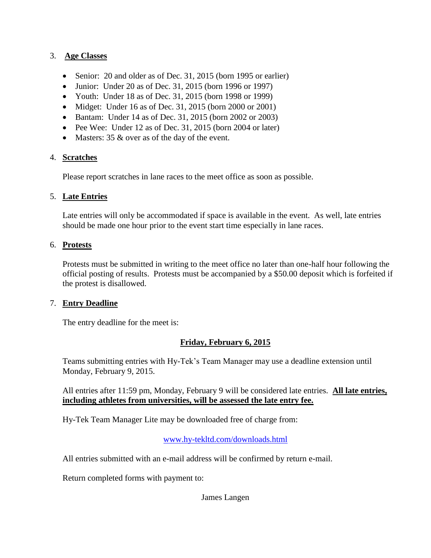#### 3. **Age Classes**

- Senior: 20 and older as of Dec. 31, 2015 (born 1995 or earlier)
- Junior: Under 20 as of Dec. 31, 2015 (born 1996 or 1997)
- Youth: Under 18 as of Dec. 31, 2015 (born 1998 or 1999)
- Midget: Under 16 as of Dec. 31, 2015 (born 2000 or 2001)
- Bantam: Under 14 as of Dec. 31, 2015 (born 2002 or 2003)
- Pee Wee: Under 12 as of Dec. 31, 2015 (born 2004 or later)
- Masters: 35 & over as of the day of the event.

#### 4. **Scratches**

Please report scratches in lane races to the meet office as soon as possible.

#### 5. **Late Entries**

Late entries will only be accommodated if space is available in the event. As well, late entries should be made one hour prior to the event start time especially in lane races.

#### 6. **Protests**

Protests must be submitted in writing to the meet office no later than one-half hour following the official posting of results. Protests must be accompanied by a \$50.00 deposit which is forfeited if the protest is disallowed.

#### 7. **Entry Deadline**

The entry deadline for the meet is:

### **Friday, February 6, 2015**

Teams submitting entries with Hy-Tek's Team Manager may use a deadline extension until Monday, February 9, 2015.

All entries after 11:59 pm, Monday, February 9 will be considered late entries. **All late entries, including athletes from universities, will be assessed the late entry fee.**

Hy-Tek Team Manager Lite may be downloaded free of charge from:

[www.hy-tekltd.com/downloads.html](http://www.hy-tekltd.com/downloads.html)

All entries submitted with an e-mail address will be confirmed by return e-mail.

Return completed forms with payment to:

James Langen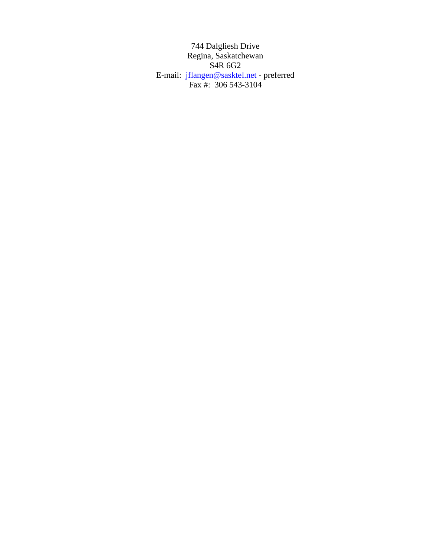744 Dalgliesh Drive Regina, Saskatchewan S4R 6G2 E-mail: [jflangen@sasktel.net](mailto:jflangen@sasktel.net) - preferred Fax #: 306 543-3104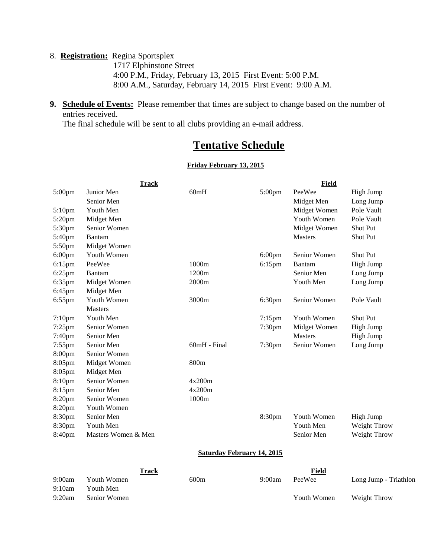#### 8. **Registration:** Regina Sportsplex

 1717 Elphinstone Street 4:00 P.M., Friday, February 13, 2015 First Event: 5:00 P.M. 8:00 A.M., Saturday, February 14, 2015 First Event: 9:00 A.M.

**9. Schedule of Events:** Please remember that times are subject to change based on the number of entries received.

The final schedule will be sent to all clubs providing an e-mail address.

## **Tentative Schedule**

#### **Friday February 13, 2015**

|           | <b>Track</b>        |                                   |                     | Field        |                       |
|-----------|---------------------|-----------------------------------|---------------------|--------------|-----------------------|
| 5:00pm    | Junior Men          | 60mH                              | 5:00pm              | PeeWee       | High Jump             |
|           | Senior Men          |                                   |                     | Midget Men   | Long Jump             |
| 5:10pm    | Youth Men           |                                   |                     | Midget Women | Pole Vault            |
| 5:20pm    | Midget Men          |                                   |                     | Youth Women  | Pole Vault            |
| 5:30pm    | Senior Women        |                                   |                     | Midget Women | Shot Put              |
| 5:40pm    | Bantam              |                                   |                     | Masters      | Shot Put              |
| 5:50pm    | Midget Women        |                                   |                     |              |                       |
| $6:00$ pm | Youth Women         |                                   | $6:00$ pm           | Senior Women | Shot Put              |
| 6:15pm    | PeeWee              | 1000m                             | $6:15$ pm<br>Bantam |              | High Jump             |
| 6:25pm    | <b>Bantam</b>       | 1200m                             |                     | Senior Men   | Long Jump             |
| 6:35pm    | Midget Women        | 2000m                             |                     | Youth Men    | Long Jump             |
| 6:45pm    | Midget Men          |                                   |                     |              |                       |
| 6:55pm    | Youth Women         | 3000m                             | 6:30pm              | Senior Women | Pole Vault            |
|           | <b>Masters</b>      |                                   |                     |              |                       |
| $7:10$ pm | Youth Men           |                                   | $7:15$ pm           | Youth Women  | <b>Shot Put</b>       |
| 7:25pm    | Senior Women        |                                   | 7:30 <sub>pm</sub>  | Midget Women | High Jump             |
| 7:40pm    | Senior Men          |                                   |                     | Masters      | High Jump             |
| 7:55pm    | Senior Men          | 60mH - Final                      | 7:30pm              | Senior Women | Long Jump             |
| 8:00pm    | Senior Women        |                                   |                     |              |                       |
| 8:05pm    | Midget Women        | 800m                              |                     |              |                       |
| 8:05pm    | Midget Men          |                                   |                     |              |                       |
| 8:10pm    | Senior Women        | 4x200m                            |                     |              |                       |
| 8:15pm    | Senior Men          | 4x200m                            |                     |              |                       |
| 8:20pm    | Senior Women        | 1000m                             |                     |              |                       |
| 8:20pm    | Youth Women         |                                   |                     |              |                       |
| 8:30pm    | Senior Men          |                                   | 8:30pm              | Youth Women  | High Jump             |
| 8:30pm    | Youth Men           |                                   |                     | Youth Men    | Weight Throw          |
| 8:40pm    | Masters Women & Men |                                   |                     | Senior Men   | Weight Throw          |
|           |                     | <b>Saturday February 14, 2015</b> |                     |              |                       |
|           | <b>Track</b>        |                                   |                     | Field        |                       |
| 9:00am    | Youth Women         | 600m                              | 9:00am              | PeeWee       | Long Jump - Triathlon |

9:10am Youth Men

9:20am Senior Women Youth Women Weight Throw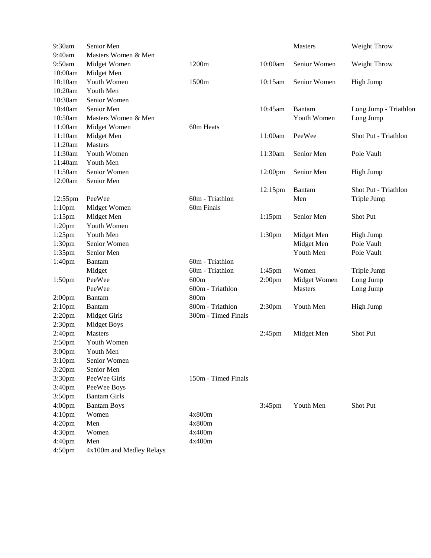| 9:30am             | Senior Men               |                     |                    | Masters      | Weight Throw          |
|--------------------|--------------------------|---------------------|--------------------|--------------|-----------------------|
| 9:40am             | Masters Women & Men      |                     |                    |              |                       |
| 9:50am             | Midget Women             | 1200m               | 10:00am            | Senior Women | Weight Throw          |
| 10:00am            | Midget Men               |                     |                    |              |                       |
| 10:10am            | Youth Women              | 1500m               | 10:15am            | Senior Women | High Jump             |
| 10:20am            | Youth Men                |                     |                    |              |                       |
| 10:30am            | Senior Women             |                     |                    |              |                       |
| 10:40am            | Senior Men               |                     | 10:45am            | Bantam       | Long Jump - Triathlon |
| 10:50am            | Masters Women & Men      |                     |                    | Youth Women  | Long Jump             |
| 11:00am            | Midget Women             | 60m Heats           |                    |              |                       |
| 11:10am            | Midget Men               |                     | 11:00am            | PeeWee       | Shot Put - Triathlon  |
| 11:20am            | Masters                  |                     |                    |              |                       |
| 11:30am            | Youth Women              |                     | 11:30am            | Senior Men   | Pole Vault            |
| 11:40am            | Youth Men                |                     |                    |              |                       |
| 11:50am            | Senior Women             |                     | 12:00pm            | Senior Men   | High Jump             |
| 12:00am            | Senior Men               |                     |                    |              |                       |
|                    |                          |                     | 12:15pm            | Bantam       | Shot Put - Triathlon  |
| 12:55pm            | PeeWee                   | 60m - Triathlon     |                    | Men          | Triple Jump           |
| 1:10 <sub>pm</sub> | Midget Women             | 60m Finals          |                    |              |                       |
| $1:15$ pm          | Midget Men               |                     | $1:15$ pm          | Senior Men   | Shot Put              |
| 1:20 <sub>pm</sub> | Youth Women              |                     |                    |              |                       |
| $1:25$ pm          | Youth Men                |                     | 1:30pm             | Midget Men   | High Jump             |
| 1:30pm             | Senior Women             |                     |                    | Midget Men   | Pole Vault            |
| 1:35pm             | Senior Men               |                     |                    | Youth Men    | Pole Vault            |
| 1:40pm             | <b>Bantam</b>            | 60m - Triathlon     |                    |              |                       |
|                    | Midget                   | 60m - Triathlon     | 1:45pm             | Women        | Triple Jump           |
| 1:50pm             | PeeWee                   | 600m                | 2:00 <sub>pm</sub> | Midget Women | Long Jump             |
|                    | PeeWee                   | 600m - Triathlon    |                    | Masters      | Long Jump             |
| 2:00 <sub>pm</sub> | <b>Bantam</b>            | 800m                |                    |              |                       |
| 2:10 <sub>pm</sub> | <b>Bantam</b>            | 800m - Triathlon    | 2:30 <sub>pm</sub> | Youth Men    | High Jump             |
| $2:20$ pm          | <b>Midget Girls</b>      | 300m - Timed Finals |                    |              |                       |
| 2:30pm             | <b>Midget Boys</b>       |                     |                    |              |                       |
| 2:40pm             | <b>Masters</b>           |                     | 2:45pm             | Midget Men   | Shot Put              |
| 2:50pm             | Youth Women              |                     |                    |              |                       |
| 3:00 <sub>pm</sub> | Youth Men                |                     |                    |              |                       |
| 3:10 <sub>pm</sub> | Senior Women             |                     |                    |              |                       |
| 3:20pm             | Senior Men               |                     |                    |              |                       |
| 3:30pm             | PeeWee Girls             | 150m - Timed Finals |                    |              |                       |
| 3:40pm             | PeeWee Boys              |                     |                    |              |                       |
| 3:50pm             | <b>Bantam Girls</b>      |                     |                    |              |                       |
| 4:00 <sub>pm</sub> | <b>Bantam Boys</b>       |                     | 3:45pm             | Youth Men    | Shot Put              |
| 4:10pm             | Women                    | 4x800m              |                    |              |                       |
| 4:20pm             | Men                      | 4x800m              |                    |              |                       |
| 4:30pm             | Women                    | 4x400m              |                    |              |                       |
| 4:40pm             | Men                      | 4x400m              |                    |              |                       |
| 4:50pm             | 4x100m and Medley Relays |                     |                    |              |                       |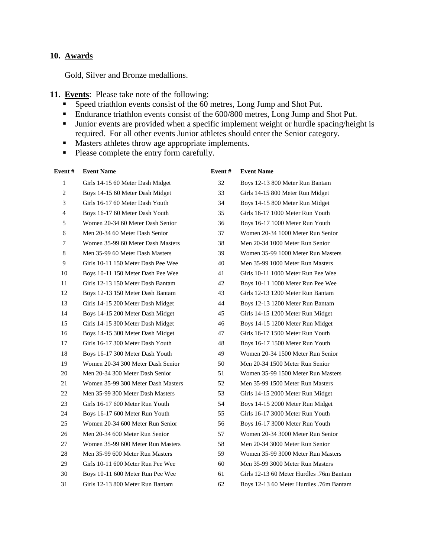#### **10. Awards**

Gold, Silver and Bronze medallions.

#### **11. Events**: Please take note of the following:

- Speed triathlon events consist of the 60 metres, Long Jump and Shot Put.
- Endurance triathlon events consist of the 600/800 metres, Long Jump and Shot Put.
- **Junior events are provided when a specific implement weight or hurdle spacing/height is** required. For all other events Junior athletes should enter the Senior category.
- **Masters athletes throw age appropriate implements.**
- Please complete the entry form carefully.

| Event #        | <b>Event Name</b>                  | Event# | <b>Event Name</b>                        |
|----------------|------------------------------------|--------|------------------------------------------|
| 1              | Girls 14-15 60 Meter Dash Midget   | 32     | Boys 12-13 800 Meter Run Bantam          |
| $\mathbf{2}$   | Boys 14-15 60 Meter Dash Midget    | 33     | Girls 14-15 800 Meter Run Midget         |
| 3              | Girls 16-17 60 Meter Dash Youth    | 34     | Boys 14-15 800 Meter Run Midget          |
| $\overline{4}$ | Boys 16-17 60 Meter Dash Youth     | 35     | Girls 16-17 1000 Meter Run Youth         |
| 5              | Women 20-34 60 Meter Dash Senior   | 36     | Boys 16-17 1000 Meter Run Youth          |
| 6              | Men 20-34 60 Meter Dash Senior     | 37     | Women 20-34 1000 Meter Run Senior        |
| 7              | Women 35-99 60 Meter Dash Masters  | 38     | Men 20-34 1000 Meter Run Senior          |
| 8              | Men 35-99 60 Meter Dash Masters    | 39     | Women 35-99 1000 Meter Run Masters       |
| 9              | Girls 10-11 150 Meter Dash Pee Wee | 40     | Men 35-99 1000 Meter Run Masters         |
| 10             | Boys 10-11 150 Meter Dash Pee Wee  | 41     | Girls 10-11 1000 Meter Run Pee Wee       |
| 11             | Girls 12-13 150 Meter Dash Bantam  | 42     | Boys 10-11 1000 Meter Run Pee Wee        |
| 12             | Boys 12-13 150 Meter Dash Bantam   | 43     | Girls 12-13 1200 Meter Run Bantam        |
| 13             | Girls 14-15 200 Meter Dash Midget  | 44     | Boys 12-13 1200 Meter Run Bantam         |
| 14             | Boys 14-15 200 Meter Dash Midget   | 45     | Girls 14-15 1200 Meter Run Midget        |
| 15             | Girls 14-15 300 Meter Dash Midget  | 46     | Boys 14-15 1200 Meter Run Midget         |
| 16             | Boys 14-15 300 Meter Dash Midget   | 47     | Girls 16-17 1500 Meter Run Youth         |
| 17             | Girls 16-17 300 Meter Dash Youth   | 48     | Boys 16-17 1500 Meter Run Youth          |
| 18             | Boys 16-17 300 Meter Dash Youth    | 49     | Women 20-34 1500 Meter Run Senior        |
| 19             | Women 20-34 300 Meter Dash Senior  | 50     | Men 20-34 1500 Meter Run Senior          |
| 20             | Men 20-34 300 Meter Dash Senior    | 51     | Women 35-99 1500 Meter Run Masters       |
| 21             | Women 35-99 300 Meter Dash Masters | 52     | Men 35-99 1500 Meter Run Masters         |
| 22             | Men 35-99 300 Meter Dash Masters   | 53     | Girls 14-15 2000 Meter Run Midget        |
| 23             | Girls 16-17 600 Meter Run Youth    | 54     | Boys 14-15 2000 Meter Run Midget         |
| 24             | Boys 16-17 600 Meter Run Youth     | 55     | Girls 16-17 3000 Meter Run Youth         |
| 25             | Women 20-34 600 Meter Run Senior   | 56     | Boys 16-17 3000 Meter Run Youth          |
| 26             | Men 20-34 600 Meter Run Senior     | 57     | Women 20-34 3000 Meter Run Senior        |
| 27             | Women 35-99 600 Meter Run Masters  | 58     | Men 20-34 3000 Meter Run Senior          |
| 28             | Men 35-99 600 Meter Run Masters    | 59     | Women 35-99 3000 Meter Run Masters       |
| 29             | Girls 10-11 600 Meter Run Pee Wee  | 60     | Men 35-99 3000 Meter Run Masters         |
| 30             | Boys 10-11 600 Meter Run Pee Wee   | 61     | Girls 12-13 60 Meter Hurdles .76m Bantam |
| 31             | Girls 12-13 800 Meter Run Bantam   | 62     | Boys 12-13 60 Meter Hurdles .76m Bantam  |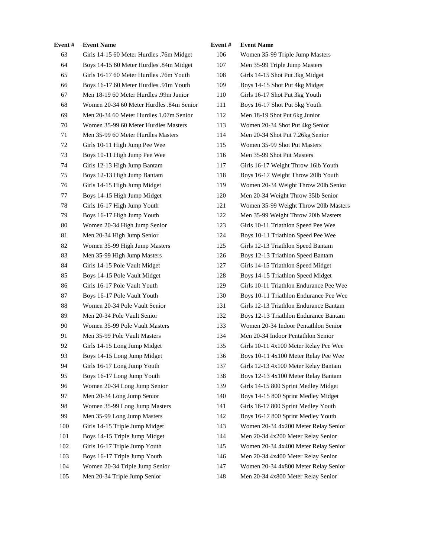| Event# | <b>Event Name</b>                        | Event# | <b>Event Name</b>                       |
|--------|------------------------------------------|--------|-----------------------------------------|
| 63     | Girls 14-15 60 Meter Hurdles .76m Midget | 106    | Women 35-99 Triple Jump Masters         |
| 64     | Boys 14-15 60 Meter Hurdles .84m Midget  | 107    | Men 35-99 Triple Jump Masters           |
| 65     | Girls 16-17 60 Meter Hurdles .76m Youth  | 108    | Girls 14-15 Shot Put 3kg Midget         |
| 66     | Boys 16-17 60 Meter Hurdles .91m Youth   | 109    | Boys 14-15 Shot Put 4kg Midget          |
| 67     | Men 18-19 60 Meter Hurdles .99m Junior   | 110    | Girls 16-17 Shot Put 3kg Youth          |
| 68     | Women 20-34 60 Meter Hurdles .84m Senior | 111    | Boys 16-17 Shot Put 5kg Youth           |
| 69     | Men 20-34 60 Meter Hurdles 1.07m Senior  | 112    | Men 18-19 Shot Put 6kg Junior           |
| 70     | Women 35-99 60 Meter Hurdles Masters     | 113    | Women 20-34 Shot Put 4kg Senior         |
| 71     | Men 35-99 60 Meter Hurdles Masters       | 114    | Men 20-34 Shot Put 7.26kg Senior        |
| 72     | Girls 10-11 High Jump Pee Wee            | 115    | Women 35-99 Shot Put Masters            |
| 73     | Boys 10-11 High Jump Pee Wee             | 116    | Men 35-99 Shot Put Masters              |
| 74     | Girls 12-13 High Jump Bantam             | 117    | Girls 16-17 Weight Throw 16lb Youth     |
| 75     | Boys 12-13 High Jump Bantam              | 118    | Boys 16-17 Weight Throw 20lb Youth      |
| 76     | Girls 14-15 High Jump Midget             | 119    | Women 20-34 Weight Throw 20lb Senior    |
| 77     | Boys 14-15 High Jump Midget              | 120    | Men 20-34 Weight Throw 35lb Senior      |
| 78     | Girls 16-17 High Jump Youth              | 121    | Women 35-99 Weight Throw 20lb Masters   |
| 79     | Boys 16-17 High Jump Youth               | 122    | Men 35-99 Weight Throw 20lb Masters     |
| 80     | Women 20-34 High Jump Senior             | 123    | Girls 10-11 Triathlon Speed Pee Wee     |
| 81     | Men 20-34 High Jump Senior               | 124    | Boys 10-11 Triathlon Speed Pee Wee      |
| 82     | Women 35-99 High Jump Masters            | 125    | Girls 12-13 Triathlon Speed Bantam      |
| 83     | Men 35-99 High Jump Masters              | 126    | Boys 12-13 Triathlon Speed Bantam       |
| 84     | Girls 14-15 Pole Vault Midget            | 127    | Girls 14-15 Triathlon Speed Midget      |
| 85     | Boys 14-15 Pole Vault Midget             | 128    | Boys 14-15 Triathlon Speed Midget       |
| 86     | Girls 16-17 Pole Vault Youth             | 129    | Girls 10-11 Triathlon Endurance Pee Wee |
| 87     | Boys 16-17 Pole Vault Youth              | 130    | Boys 10-11 Triathlon Endurance Pee Wee  |
| 88     | Women 20-34 Pole Vault Senior            | 131    | Girls 12-13 Triathlon Endurance Bantam  |
| 89     | Men 20-34 Pole Vault Senior              | 132    | Boys 12-13 Triathlon Endurance Bantam   |
| 90     | Women 35-99 Pole Vault Masters           | 133    | Women 20-34 Indoor Pentathlon Senior    |
| 91     | Men 35-99 Pole Vault Masters             | 134    | Men 20-34 Indoor Pentathlon Senior      |
| 92     | Girls 14-15 Long Jump Midget             | 135    | Girls 10-11 4x100 Meter Relay Pee Wee   |
| 93     | Boys 14-15 Long Jump Midget              | 136    | Boys 10-11 4x100 Meter Relay Pee Wee    |
| 94     | Girls 16-17 Long Jump Youth              | 137    | Girls 12-13 4x100 Meter Relay Bantam    |
| 95     | Boys 16-17 Long Jump Youth               | 138    | Boys 12-13 4x100 Meter Relay Bantam     |
| 96     | Women 20-34 Long Jump Senior             | 139    | Girls 14-15 800 Sprint Medley Midget    |
| 97     | Men 20-34 Long Jump Senior               | 140    | Boys 14-15 800 Sprint Medley Midget     |
| 98     | Women 35-99 Long Jump Masters            | 141    | Girls 16-17 800 Sprint Medley Youth     |
| 99     | Men 35-99 Long Jump Masters              | 142    | Boys 16-17 800 Sprint Medley Youth      |
| 100    | Girls 14-15 Triple Jump Midget           | 143    | Women 20-34 4x200 Meter Relay Senior    |
| 101    | Boys 14-15 Triple Jump Midget            | 144    | Men 20-34 4x200 Meter Relay Senior      |
| 102    | Girls 16-17 Triple Jump Youth            | 145    | Women 20-34 4x400 Meter Relay Senior    |
| 103    | Boys 16-17 Triple Jump Youth             | 146    | Men 20-34 4x400 Meter Relay Senior      |
| 104    | Women 20-34 Triple Jump Senior           | 147    | Women 20-34 4x800 Meter Relay Senior    |
| 105    | Men 20-34 Triple Jump Senior             | 148    | Men 20-34 4x800 Meter Relay Senior      |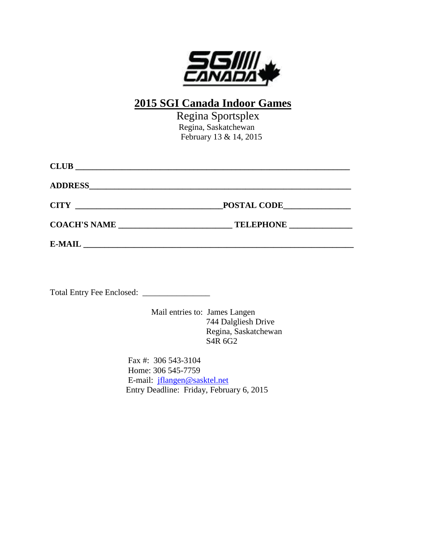

# **2015 SGI Canada Indoor Games**

 Regina Sportsplex Regina, Saskatchewan February 13 & 14, 2015

| <b>CLUB</b>         |                  |  |
|---------------------|------------------|--|
|                     |                  |  |
|                     | POSTAL CODE      |  |
| <b>COACH'S NAME</b> | <b>TELEPHONE</b> |  |
| <b>E-MAIL</b>       |                  |  |

Total Entry Fee Enclosed: \_\_\_\_\_\_\_\_\_\_\_\_\_\_\_\_

Mail entries to: James Langen 744 Dalgliesh Drive Regina, Saskatchewan S4R 6G2

Fax #: 306 543-3104 Home: 306 545-7759 E-mail: [jflangen@sasktel.net](mailto:jflangen@sasktel.net) Entry Deadline: Friday, February 6, 2015